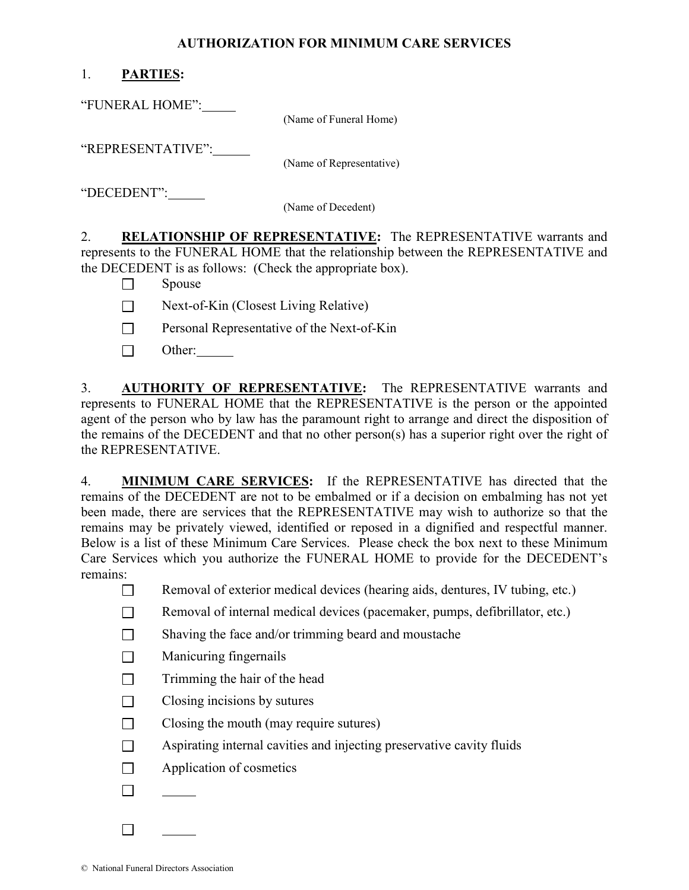## AUTHORIZATION FOR MINIMUM CARE SERVICES

## 1. PARTIES:

"FUNERAL HOME":

(Name of Funeral Home)

"REPRESENTATIVE":

(Name of Representative)

"DECEDENT":

(Name of Decedent)

2. RELATIONSHIP OF REPRESENTATIVE: The REPRESENTATIVE warrants and represents to the FUNERAL HOME that the relationship between the REPRESENTATIVE and the DECEDENT is as follows: (Check the appropriate box).

 $\Box$  Spouse

- $\Box$  Next-of-Kin (Closest Living Relative)
- □ Personal Representative of the Next-of-Kin
- $\Box$  Other:

3. **AUTHORITY OF REPRESENTATIVE:** The REPRESENTATIVE warrants and represents to FUNERAL HOME that the REPRESENTATIVE is the person or the appointed agent of the person who by law has the paramount right to arrange and direct the disposition of the remains of the DECEDENT and that no other person(s) has a superior right over the right of the REPRESENTATIVE.

4. MINIMUM CARE SERVICES: If the REPRESENTATIVE has directed that the remains of the DECEDENT are not to be embalmed or if a decision on embalming has not yet been made, there are services that the REPRESENTATIVE may wish to authorize so that the remains may be privately viewed, identified or reposed in a dignified and respectful manner. Below is a list of these Minimum Care Services. Please check the box next to these Minimum Care Services which you authorize the FUNERAL HOME to provide for the DECEDENT's remains:

Removal of exterior medical devices (hearing aids, dentures, IV tubing, etc.)

- $\Box$  Removal of internal medical devices (pacemaker, pumps, defibrillator, etc.)
- $\Box$  Shaving the face and/or trimming beard and moustache
- $\Box$  Manicuring fingernails
- $\Box$  Trimming the hair of the head
- $\Box$  Closing incisions by sutures
- $\Box$  Closing the mouth (may require sutures)
- $\Box$  Aspirating internal cavities and injecting preservative cavity fluids
- $\Box$  Application of cosmetics
- $\Box$

 $\Box$ 

© National Funeral Directors Association

 $\overline{a}$